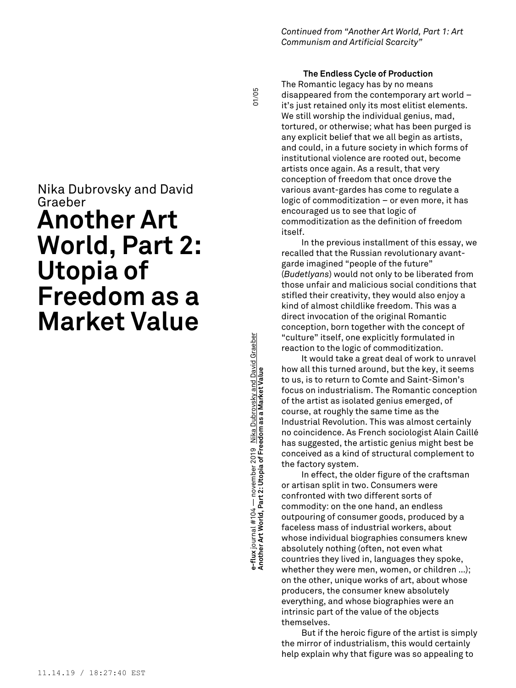# **Another Art World, Part 2: Utopia of Freedom as a Market Value** 01/05 ə-flux journal #104 — november 2019 Nika Dubrovsky and David Graeber<br>Another Art World, Part 2: Utopia of Freedom as a Market Value **e-flux** journal #104 — november 2019 Nika Dubrovsky and David Graeber

*Continued from "Another Art World, Part 1: Art Communism and Artificial Scarcity"*

# **The Endless Cycle of Production**

The Romantic legacy has by no means disappeared from the contemporary art world – it's just retained only its most elitist elements. We still worship the individual genius, mad, tortured, or otherwise; what has been purged is any explicit belief that we all begin as artists, and could, in a future society in which forms of institutional violence are rooted out, become artists once again. As a result, that very conception of freedom that once drove the various avant-gardes has come to regulate a logic of commoditization – or even more, it has encouraged us to see that logic of commoditization as the definition of freedom itself.

In the previous installment of this essay, we recalled that the Russian revolutionary avantgarde imagined "people of the future" (*Budetlyans*) would not only to be liberated from those unfair and malicious social conditions that stifled their creativity, they would also enjoy a kind of almost childlike freedom. This was a direct invocation of the original Romantic conception, born together with the concept of "culture" itself, one explicitly formulated in reaction to the logic of commoditization.

It would take a great deal of work to unravel how all this turned around, but the key, it seems to us, is to return to Comte and Saint-Simon's focus on industrialism. The Romantic conception of the artist as isolated genius emerged, of course, at roughly the same time as the Industrial Revolution. This was almost certainly no coincidence. As French sociologist Alain Caillé has suggested, the artistic genius might best be conceived as a kind of structural complement to the factory system.

In effect, the older figure of the craftsman or artisan split in two. Consumers were confronted with two different sorts of commodity: on the one hand, an endless outpouring of consumer goods, produced by a faceless mass of industrial workers, about whose individual biographies consumers knew absolutely nothing (often, not even what countries they lived in, languages they spoke, whether they were men, women, or children …); on the other, unique works of art, about whose producers, the consumer knew absolutely everything, and whose biographies were an intrinsic part of the value of the objects themselves.

But if the heroic figure of the artist is simply the mirror of industrialism, this would certainly help explain why that figure was so appealing to

# Nika Dubrovsky and David Graeber

# **Another Art World, Part 2: Utopia of Freedom as a Market Value**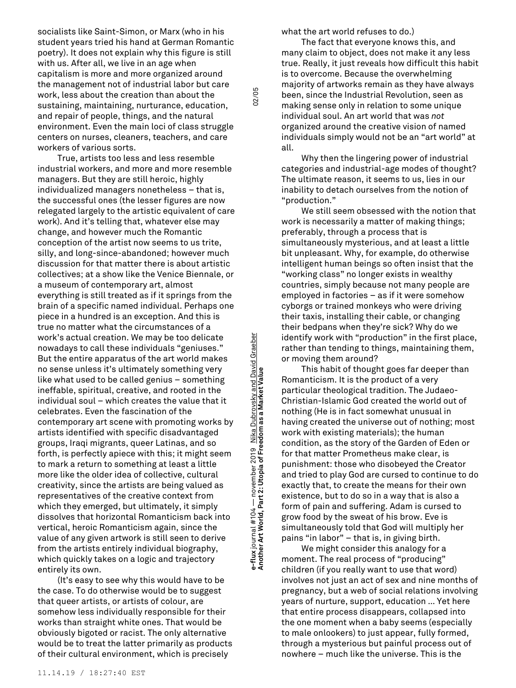socialists like Saint-Simon, or Marx (who in his student years tried his hand at German Romantic poetry). It does not explain why this figure is still with us. After all, we live in an age when capitalism is more and more organized around the management not of industrial labor but care work, less about the creation than about the sustaining, maintaining, nurturance, education, and repair of people, things, and the natural environment. Even the main loci of class struggle centers on nurses, cleaners, teachers, and care workers of various sorts.

True, artists too less and less resemble industrial workers, and more and more resemble managers. But they are still heroic, highly individualized managers nonetheless – that is, the successful ones (the lesser figures are now relegated largely to the artistic equivalent of care work). And it's telling that, whatever else may change, and however much the Romantic conception of the artist now seems to us trite, silly, and long-since-abandoned; however much discussion for that matter there is about artistic collectives; at a show like the Venice Biennale, or a museum of contemporary art, almost everything is still treated as if it springs from the brain of a specific named individual. Perhaps one piece in a hundred is an exception. And this is true no matter what the circumstances of a work's actual creation. We may be too delicate nowadays to call these individuals "geniuses." But the entire apparatus of the art world makes no sense unless it's ultimately something very like what used to be called genius – something ineffable, spiritual, creative, and rooted in the individual soul – which creates the value that it celebrates. Even the fascination of the contemporary art scene with promoting works by artists identified with specific disadvantaged groups, Iraqi migrants, queer Latinas, and so forth, is perfectly apiece with this; it might seem to mark a return to something at least a little more like the older idea of collective, cultural creativity, since the artists are being valued as representatives of the creative context from which they emerged, but ultimately, it simply dissolves that horizontal Romanticism back into vertical, heroic Romanticism again, since the value of any given artwork is still seen to derive from the artists entirely individual biography, which quickly takes on a logic and trajectory entirely its own.

(It's easy to see why this would have to be the case. To do otherwise would be to suggest that queer artists, or artists of colour, are somehow less individually responsible for their works than straight white ones. That would be obviously bigoted or racist. The only alternative would be to treat the latter primarily as products of their cultural environment, which is precisely

**Another Art World, Part 2: Utopia of Freedom as a Market Value** 02/05 Nika Dubrovsky and David Graeber **e-flux** journal #104 — november 2019 Nika Dubrovsky and David Graeber Freedom as a Market Value e-flux journal #104 — november 2019<br>Another Art World, Part 2: Utopia of Fre

02/05

what the art world refuses to do.)

The fact that everyone knows this, and many claim to object, does not make it any less true. Really, it just reveals how difficult this habit is to overcome. Because the overwhelming majority of artworks remain as they have always been, since the Industrial Revolution, seen as making sense only in relation to some unique individual soul. An art world that was *not* organized around the creative vision of named individuals simply would not be an "art world" at all.

Why then the lingering power of industrial categories and industrial-age modes of thought? The ultimate reason, it seems to us, lies in our inability to detach ourselves from the notion of "production."

We still seem obsessed with the notion that work is necessarily a matter of making things; preferably, through a process that is simultaneously mysterious, and at least a little bit unpleasant. Why, for example, do otherwise intelligent human beings so often insist that the "working class" no longer exists in wealthy countries, simply because not many people are employed in factories – as if it were somehow cyborgs or trained monkeys who were driving their taxis, installing their cable, or changing their bedpans when they're sick? Why do we identify work with "production" in the first place, rather than tending to things, maintaining them, or moving them around?

This habit of thought goes far deeper than Romanticism. It is the product of a very particular theological tradition. The Judaeo-Christian-Islamic God created the world out of nothing (He is in fact somewhat unusual in having created the universe out of nothing; most work with existing materials); the human condition, as the story of the Garden of Eden or for that matter Prometheus make clear, is punishment: those who disobeyed the Creator and tried to play God are cursed to continue to do exactly that, to create the means for their own existence, but to do so in a way that is also a form of pain and suffering. Adam is cursed to grow food by the sweat of his brow. Eve is simultaneously told that God will multiply her pains "in labor" – that is, in giving birth.

We might consider this analogy for a moment. The real process of "producing" children (if you really want to use that word) involves not just an act of sex and nine months of pregnancy, but a web of social relations involving years of nurture, support, education … Yet here that entire process disappears, collapsed into the one moment when a baby seems (especially to male onlookers) to just appear, fully formed, through a mysterious but painful process out of nowhere – much like the universe. This is the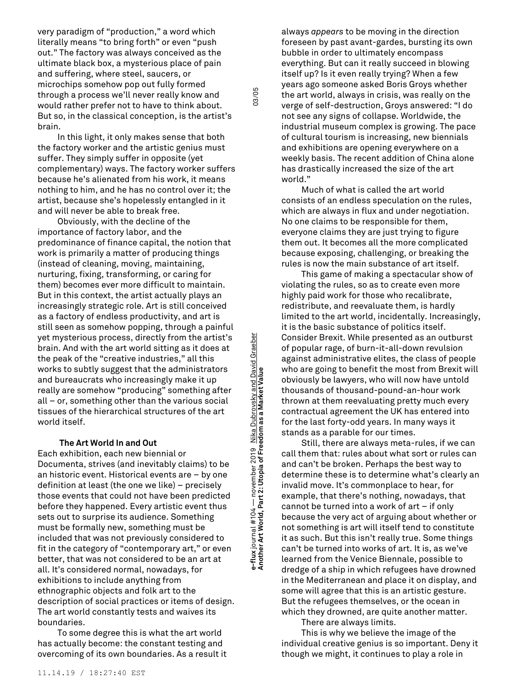very paradigm of "production," a word which literally means "to bring forth" or even "push out." The factory was always conceived as the ultimate black box, a mysterious place of pain and suffering, where steel, saucers, or microchips somehow pop out fully formed through a process we'll never really know and would rather prefer not to have to think about. But so, in the classical conception, is the artist's brain.

In this light, it only makes sense that both the factory worker and the artistic genius must suffer. They simply suffer in opposite (yet complementary) ways. The factory worker suffers because he's alienated from his work, it means nothing to him, and he has no control over it; the artist, because she's hopelessly entangled in it and will never be able to break free.

Obviously, with the decline of the importance of factory labor, and the predominance of finance capital, the notion that work is primarily a matter of producing things (instead of cleaning, moving, maintaining, nurturing, fixing, transforming, or caring for them) becomes ever more difficult to maintain. But in this context, the artist actually plays an increasingly strategic role. Art is still conceived as a factory of endless productivity, and art is still seen as somehow popping, through a painful yet mysterious process, directly from the artist's brain. And with the art world sitting as it does at the peak of the "creative industries," all this works to subtly suggest that the administrators and bureaucrats who increasingly make it up really are somehow "producing" something after all – or, something other than the various social tissues of the hierarchical structures of the art world itself.

### **The Art World In and Out**

Each exhibition, each new biennial or Documenta, strives (and inevitably claims) to be an historic event. Historical events are – by one definition at least (the one we like) – precisely those events that could not have been predicted before they happened. Every artistic event thus sets out to surprise its audience. Something must be formally new, something must be included that was not previously considered to fit in the category of "contemporary art," or even better, that was not considered to be an art at all. It's considered normal, nowadays, for exhibitions to include anything from ethnographic objects and folk art to the description of social practices or items of design. The art world constantly tests and waives its boundaries.

To some degree this is what the art world has actually become: the constant testing and overcoming of its own boundaries. As a result it

**Another Art World, Part 2: Utopia of Freedom as a Market Value** 03/05 e-flux journal #104 — november 2019 Nika <u>Dubrovsky and David Graeber</u><br>Another Art World, Part 2: Utopia of Freedom as a Market Value **e-flux** journal #104 — november 2019 Nika Dubrovsky and David Graeber

03/05

always *appears* to be moving in the direction foreseen by past avant-gardes, bursting its own bubble in order to ultimately encompass everything. But can it really succeed in blowing itself up? Is it even really trying? When a few years ago someone asked Boris Groys whether the art world, always in crisis, was really on the verge of self-destruction, Groys answered: "I do not see any signs of collapse. Worldwide, the industrial museum complex is growing. The pace of cultural tourism is increasing, new biennials and exhibitions are opening everywhere on a weekly basis. The recent addition of China alone has drastically increased the size of the art world."

Much of what is called the art world consists of an endless speculation on the rules, which are always in flux and under negotiation. No one claims to be responsible for them, everyone claims they are just trying to figure them out. It becomes all the more complicated because exposing, challenging, or breaking the rules is now the main substance of art itself.

This game of making a spectacular show of violating the rules, so as to create even more highly paid work for those who recalibrate, redistribute, and reevaluate them, is hardly limited to the art world, incidentally. Increasingly, it is the basic substance of politics itself. Consider Brexit. While presented as an outburst of popular rage, of burn-it-all-down revulsion against administrative elites, the class of people who are going to benefit the most from Brexit will obviously be lawyers, who will now have untold thousands of thousand-pound-an-hour work thrown at them reevaluating pretty much every contractual agreement the UK has entered into for the last forty-odd years. In many ways it stands as a parable for our times.

Still, there are always meta-rules, if we can call them that: rules about what sort or rules can and can't be broken. Perhaps the best way to determine these is to determine what's clearly an invalid move. It's commonplace to hear, for example, that there's nothing, nowadays, that cannot be turned into a work of art – if only because the very act of arguing about whether or not something is art will itself tend to constitute it as such. But this isn't really true. Some things can't be turned into works of art. It is, as we've learned from the Venice Biennale, possible to dredge of a ship in which refugees have drowned in the Mediterranean and place it on display, and some will agree that this is an artistic gesture. But the refugees themselves, or the ocean in which they drowned, are quite another matter.

There are always limits.

This is why we believe the image of the individual creative genius is so important. Deny it though we might, it continues to play a role in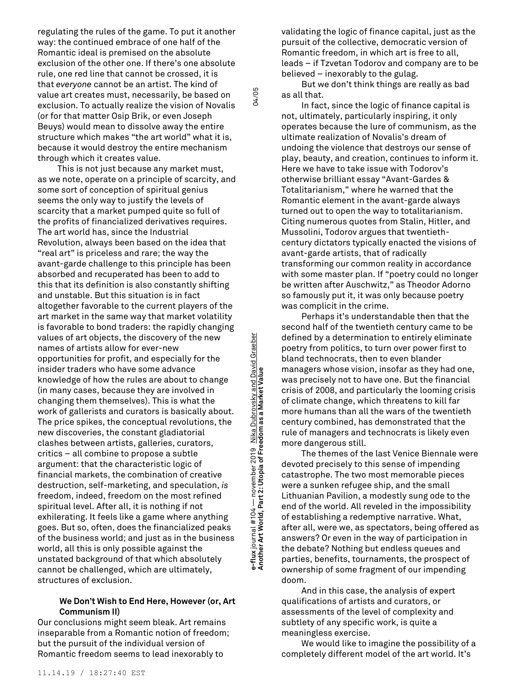regulating the rules of the game. To put it another way: the continued embrace of one half of the Romantic ideal is premised on the absolute exclusion of the other one. If there's one absolute rule, one red line that cannot be crossed, it is that *everyone* cannot be an artist. The kind of value art creates must, necessarily, be based on exclusion. To actually realize the vision of Novalis (or for that matter Osip Brik, or even Joseph Beuys) would mean to dissolve away the entire structure which makes "the art world" what it is, because it would destroy the entire mechanism through which it creates value.

This is not just because any market must, as we note, operate on a principle of scarcity, and some sort of conception of spiritual genius seems the only way to justify the levels of scarcity that a market pumped quite so full of the profits of financialized derivatives requires. The art world has, since the Industrial Revolution, always been based on the idea that "real art" is priceless and rare; the way the avant-garde challenge to this principle has been absorbed and recuperated has been to add to this that its definition is also constantly shifting and unstable. But this situation is in fact altogether favorable to the current players of the art market in the same way that market volatility is favorable to bond traders: the rapidly changing values of art objects, the discovery of the new names of artists allow for ever-new opportunities for profit, and especially for the insider traders who have some advance knowledge of how the rules are about to change (in many cases, because they are involved in changing them themselves). This is what the work of gallerists and curators is basically about. The price spikes, the conceptual revolutions, the new discoveries, the constant gladiatorial clashes between artists, galleries, curators, critics – all combine to propose a subtle argument: that the characteristic logic of financial markets, the combination of creative destruction, self-marketing, and speculation, *is* freedom, indeed, freedom on the most refined spiritual level. After all, it is nothing if not exhilerating. It feels like a game where anything goes. But so, often, does the financialized peaks of the business world; and just as in the business world, all this is only possible against the unstated background of that which absolutely cannot be challenged, which are ultimately, structures of exclusion.

# **We Don't Wish to End Here, However (or, Art Communism II)**

Our conclusions might seem bleak. Art remains inseparable from a Romantic notion of freedom; but the pursuit of the individual version of Romantic freedom seems to lead inexorably to

**Another Art World, Part 2: Utopia of Freedom as a Market Value** 04/05 Nika Dubrovsky and David Graeber **e-flux** journal #104 — november 2019 Nika Dubrovsky and David Graeber e-flux journal #104 — november 2019 <u>Nika Dubrovsky and Dav</u><br>Another Art World, Part 2: Utopia of Freedom as a Market Value

04/05

validating the logic of finance capital, just as the pursuit of the collective, democratic version of Romantic freedom, in which art is free to all, leads – if Tzvetan Todorov and company are to be believed – inexorably to the gulag.

But we don't think things are really as bad as all that.

In fact, since the logic of finance capital is not, ultimately, particularly inspiring, it only operates because the lure of communism, as the ultimate realization of Novalis's dream of undoing the violence that destroys our sense of play, beauty, and creation, continues to inform it. Here we have to take issue with Todorov's otherwise brilliant essay "Avant-Gardes & Totalitarianism," where he warned that the Romantic element in the avant-garde always turned out to open the way to totalitarianism. Citing numerous quotes from Stalin, Hitler, and Mussolini, Todorov argues that twentiethcentury dictators typically enacted the visions of avant-garde artists, that of radically transforming our common reality in accordance with some master plan. If "poetry could no longer be written after Auschwitz," as Theodor Adorno so famously put it, it was only because poetry was complicit in the crime.

Perhaps it's understandable then that the second half of the twentieth century came to be defined by a determination to entirely eliminate poetry from politics, to turn over power first to bland technocrats, then to even blander managers whose vision, insofar as they had one, was precisely not to have one. But the financial crisis of 2008, and particularly the looming crisis of climate change, which threatens to kill far more humans than all the wars of the twentieth century combined, has demonstrated that the rule of managers and technocrats is likely even more dangerous still.

The themes of the last Venice Biennale were devoted precisely to this sense of impending catastrophe. The two most memorable pieces were a sunken refugee ship, and the small Lithuanian Pavilion, a modestly sung ode to the end of the world. All reveled in the impossibility of establishing a redemptive narrative. What, after all, were we, as spectators, being offered as answers? Or even in the way of participation in the debate? Nothing but endless queues and parties, benefits, tournaments, the prospect of ownership of some fragment of our impending doom.

And in this case, the analysis of expert qualifications of artists and curators, or assessments of the level of complexity and subtlety of any specific work, is quite a meaningless exercise.

We would like to imagine the possibility of a completely different model of the art world. It's